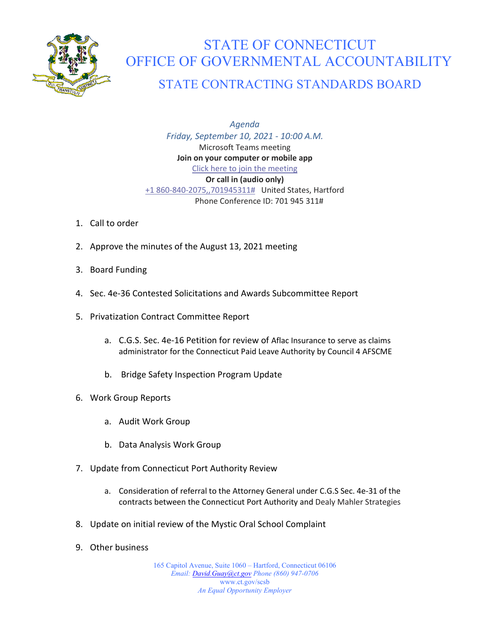

## STATE OF CONNECTICUT OFFICE OF GOVERNMENTAL ACCOUNTABILITY

## STATE CONTRACTING STANDARDS BOARD

*Agenda Friday, September 10, 2021 - 10:00 A.M.* Microsoft Teams meeting **Join on your computer or mobile app** [Click here to join the meeting](https://teams.microsoft.com/l/meetup-join/19%3af653f8a77394404eaa09d40c673bd322%40thread.tacv2/1630601359959?context=%7b%22Tid%22%3a%22118b7cfa-a3dd-48b9-b026-31ff69bb738b%22%2c%22Oid%22%3a%228648c1f7-691e-4441-9877-887d4976e8bf%22%7d) **Or call in (audio only)** [+1 860-840-2075,,701945311#](tel:+18608402075,,701945311#%20) United States, Hartford Phone Conference ID: 701 945 311#

- 1. Call to order
- 2. Approve the minutes of the August 13, 2021 meeting
- 3. Board Funding
- 4. Sec. 4e-36 Contested Solicitations and Awards Subcommittee Report
- 5. Privatization Contract Committee Report
	- a. C.G.S. Sec. 4e-16 Petition for review of Aflac Insurance to serve as claims administrator for the Connecticut Paid Leave Authority by Council 4 AFSCME
	- b. Bridge Safety Inspection Program Update
- 6. Work Group Reports
	- a. Audit Work Group
	- b. Data Analysis Work Group
- 7. Update from Connecticut Port Authority Review
	- a. Consideration of referral to the Attorney General under C.G.S Sec. 4e-31 of the contracts between the Connecticut Port Authority and Dealy Mahler Strategies
- 8. Update on initial review of the Mystic Oral School Complaint
- 9. Other business